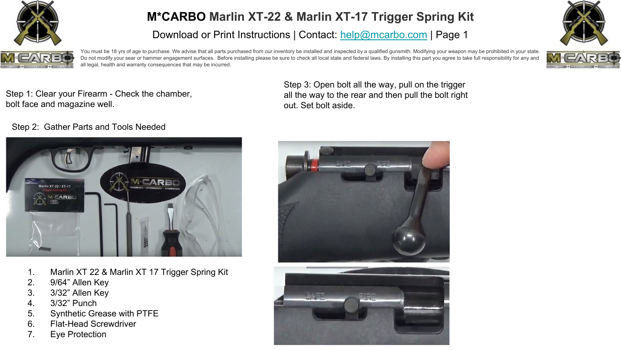

Download or Print Instructions | Contact: [help@mcarbo.com](mailto:help@mcarbo.com) | Page 1





You must be 18 yrs of age to purchase. We advise that all parts purchased from our inventory be installed and inspected by a qualified qunsmith. Modifying your weapon may be prohibited in your state. Do not modify your sear or hammer engagement surfaces. Before installing please be sure to check all local state and federal laws. By installing this part you agree to take full responsibility for any and all legal, health and warranty consequences that may be incurred.



Step 3: Open bolt all the way, pull on the trigger all the way to the rear and then pull the bolt right out. Set bolt aside.

#### Step 2: Gather Parts and Tools Needed



- 1. Marlin XT 22 & Marlin XT 17 Trigger Spring Kit
- 2. 9/64" Allen Key
- 3. 3/32" Allen Key
- 4. 3/32" Punch
- 5. Synthetic Grease with PTFE
- 6. Flat-Head Screwdriver
- 7. Eye Protection



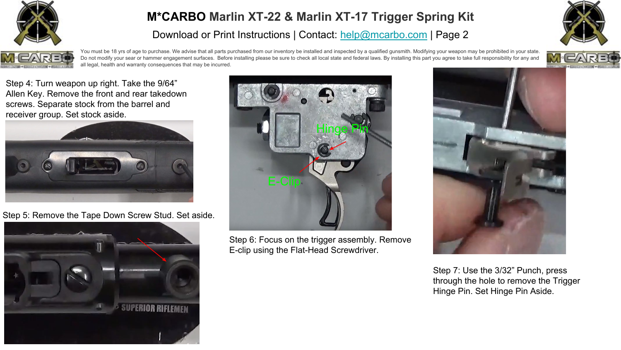

Download or Print Instructions | Contact: [help@mcarbo.com](mailto:help@mcarbo.com) | Page 2





You must be 18 yrs of age to purchase. We advise that all parts purchased from our inventory be installed and inspected by a qualified qunsmith. Modifying your weapon may be prohibited in your state. Do not modify your sear or hammer engagement surfaces. Before installing please be sure to check all local state and federal laws. By installing this part you agree to take full responsibility for any and all legal, health and warranty consequences that may be incurred.



Step 4: Turn weapon up right. Take the 9/64" Allen Key. Remove the front and rear takedown screws. Separate stock from the barrel and receiver group. Set stock aside.



Step 5: Remove the Tape Down Screw Stud. Set aside.





Step 6: Focus on the trigger assembly. Remove E-clip using the Flat-Head Screwdriver.



Step 7: Use the 3/32" Punch, press through the hole to remove the Trigger Hinge Pin. Set Hinge Pin Aside.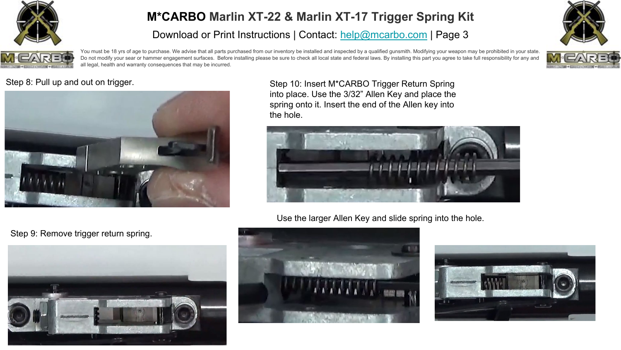

Download or Print Instructions | Contact: [help@mcarbo.com](mailto:help@mcarbo.com) | Page 3





You must be 18 yrs of age to purchase. We advise that all parts purchased from our inventory be installed and inspected by a qualified qunsmith. Modifying your weapon may be prohibited in your state. Do not modify your sear or hammer engagement surfaces. Before installing please be sure to check all local state and federal laws. By installing this part you agree to take full responsibility for any and all legal, health and warranty consequences that may be incurred.



#### Step 8: Pull up and out on trigger.



Step 10: Insert M\*CARBO Trigger Return Spring into place. Use the 3/32" Allen Key and place the spring onto it. Insert the end of the Allen key into the hole.



Use the larger Allen Key and slide spring into the hole.





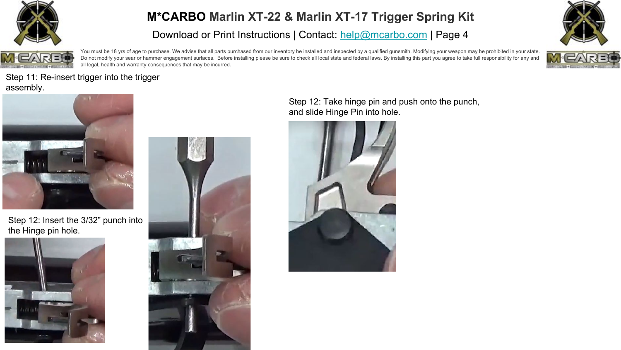

Download or Print Instructions | Contact: [help@mcarbo.com](mailto:help@mcarbo.com) | Page 4



You must be 18 yrs of age to purchase. We advise that all parts purchased from our inventory be installed and inspected by a qualified qunsmith. Modifying your weapon may be prohibited in your state. Do not modify your sear or hammer engagement surfaces. Before installing please be sure to check all local state and federal laws. By installing this part you agree to take full responsibility for any and all legal, health and warranty consequences that may be incurred.



Step 11: Re-insert trigger into the trigger assembly.



Step 12: Insert the 3/32" punch into the Hinge pin hole.





Step 12: Take hinge pin and push onto the punch, and slide Hinge Pin into hole.

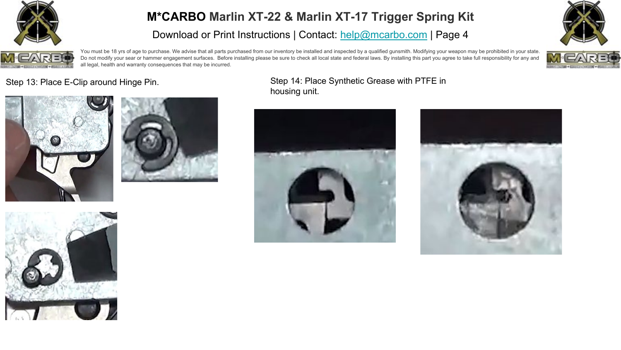

Download or Print Instructions | Contact: [help@mcarbo.com](mailto:help@mcarbo.com) | Page 4





You must be 18 yrs of age to purchase. We advise that all parts purchased from our inventory be installed and inspected by a qualified qunsmith. Modifying your weapon may be prohibited in your state. Do not modify your sear or hammer engagement surfaces. Before installing please be sure to check all local state and federal laws. By installing this part you agree to take full responsibility for any and all legal, health and warranty consequences that may be incurred.







#### Step 13: Place E-Clip around Hinge Pin. Step 14: Place Synthetic Grease with PTFE in housing unit.





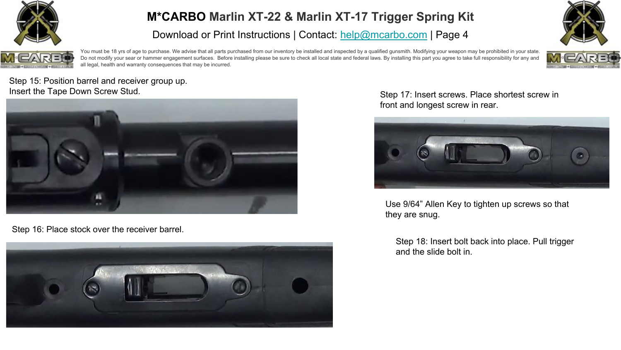

Download or Print Instructions | Contact: [help@mcarbo.com](mailto:help@mcarbo.com) | Page 4



You must be 18 yrs of age to purchase. We advise that all parts purchased from our inventory be installed and inspected by a qualified qunsmith. Modifying your weapon may be prohibited in your state. Do not modify your sear or hammer engagement surfaces. Before installing please be sure to check all local state and federal laws. By installing this part you agree to take full responsibility for any and all legal, health and warranty consequences that may be incurred.



Step 15: Position barrel and receiver group up. Insert the Tape Down Screw Stud.



Step 16: Place stock over the receiver barrel.



Step 17: Insert screws. Place shortest screw in front and longest screw in rear.



Use 9/64" Allen Key to tighten up screws so that they are snug.

Step 18: Insert bolt back into place. Pull trigger and the slide bolt in.